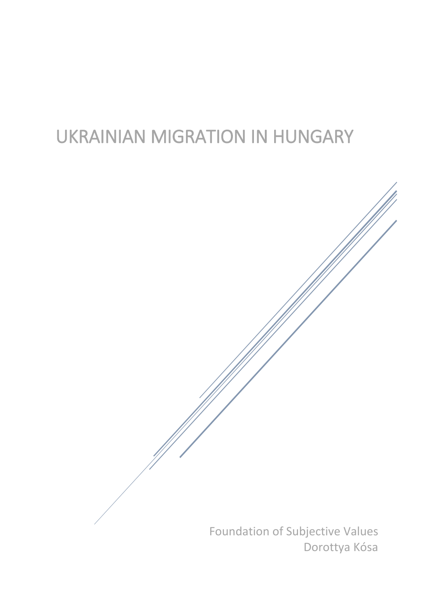# UKRAINIAN MIGRATION IN HUNGARY

Foundation of Subjective Values Dorottya Kósa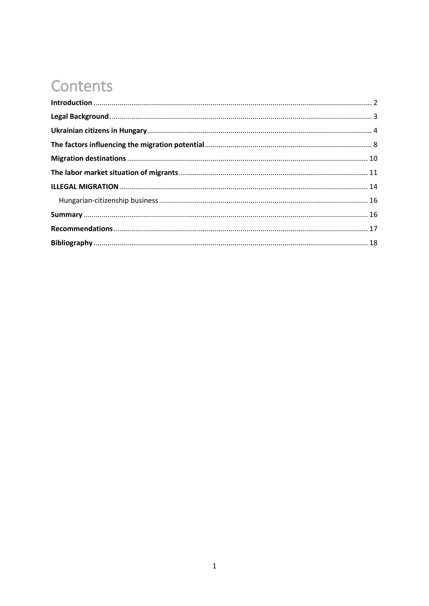# **Contents**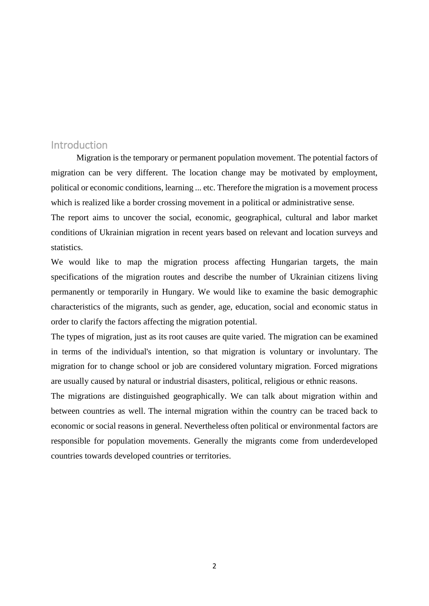## <span id="page-2-0"></span>**Introduction**

Migration is the temporary or permanent population movement. The potential factors of migration can be very different. The location change may be motivated by employment, political or economic conditions, learning ... etc. Therefore the migration is a movement process which is realized like a border crossing movement in a political or administrative sense.

The report aims to uncover the social, economic, geographical, cultural and labor market conditions of Ukrainian migration in recent years based on relevant and location surveys and statistics.

We would like to map the migration process affecting Hungarian targets, the main specifications of the migration routes and describe the number of Ukrainian citizens living permanently or temporarily in Hungary. We would like to examine the basic demographic characteristics of the migrants, such as gender, age, education, social and economic status in order to clarify the factors affecting the migration potential.

The types of migration, just as its root causes are quite varied. The migration can be examined in terms of the individual's intention, so that migration is voluntary or involuntary. The migration for to change school or job are considered voluntary migration. Forced migrations are usually caused by natural or industrial disasters, political, religious or ethnic reasons.

The migrations are distinguished geographically. We can talk about migration within and between countries as well. The internal migration within the country can be traced back to economic or social reasons in general. Nevertheless often political or environmental factors are responsible for population movements. Generally the migrants come from underdeveloped countries towards developed countries or territories.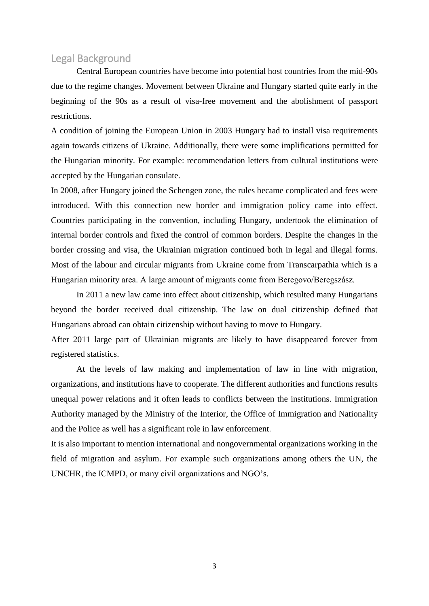#### <span id="page-3-0"></span>Legal Background

Central European countries have become into potential host countries from the mid-90s due to the regime changes. Movement between Ukraine and Hungary started quite early in the beginning of the 90s as a result of visa-free movement and the abolishment of passport restrictions.

A condition of joining the European Union in 2003 Hungary had to install visa requirements again towards citizens of Ukraine. Additionally, there were some implifications permitted for the Hungarian minority. For example: recommendation letters from cultural institutions were accepted by the Hungarian consulate.

In 2008, after Hungary joined the Schengen zone, the rules became complicated and fees were introduced. With this connection new border and immigration policy came into effect. Countries participating in the convention, including Hungary, undertook the elimination of internal border controls and fixed the control of common borders. Despite the changes in the border crossing and visa, the Ukrainian migration continued both in legal and illegal forms. Most of the labour and circular migrants from Ukraine come from Transcarpathia which is a Hungarian minority area. A large amount of migrants come from Beregovo/Beregszász.

In 2011 a new law came into effect about citizenship, which resulted many Hungarians beyond the border received dual citizenship. The law on dual citizenship defined that Hungarians abroad can obtain citizenship without having to move to Hungary.

After 2011 large part of Ukrainian migrants are likely to have disappeared forever from registered statistics.

At the levels of law making and implementation of law in line with migration, organizations, and institutions have to cooperate. The different authorities and functions results unequal power relations and it often leads to conflicts between the institutions. Immigration Authority managed by the Ministry of the Interior, the Office of Immigration and Nationality and the Police as well has a significant role in law enforcement.

It is also important to mention international and nongovernmental organizations working in the field of migration and asylum. For example such organizations among others the UN, the UNCHR, the ICMPD, or many civil organizations and NGO's.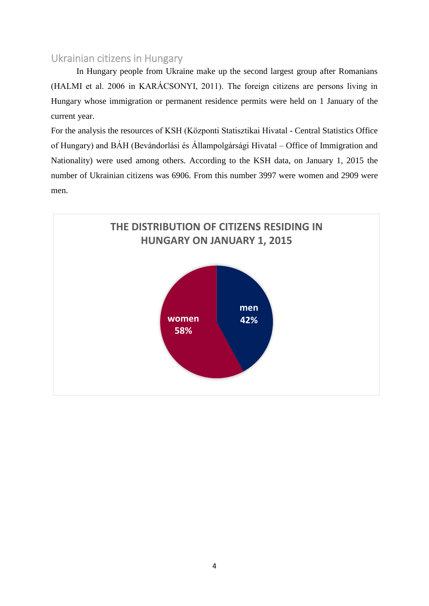# <span id="page-4-0"></span>Ukrainian citizens in Hungary

In Hungary people from Ukraine make up the second largest group after Romanians (HALMI et al. 2006 in KARÁCSONYI, 2011). The foreign citizens are persons living in Hungary whose immigration or permanent residence permits were held on 1 January of the current year.

For the analysis the resources of KSH (Központi Statisztikai Hivatal - Central Statistics Office of Hungary) and BÁH (Bevándorlási és Állampolgársági Hivatal – Office of Immigration and Nationality) were used among others. According to the KSH data, on January 1, 2015 the number of Ukrainian citizens was 6906. From this number 3997 were women and 2909 were men.

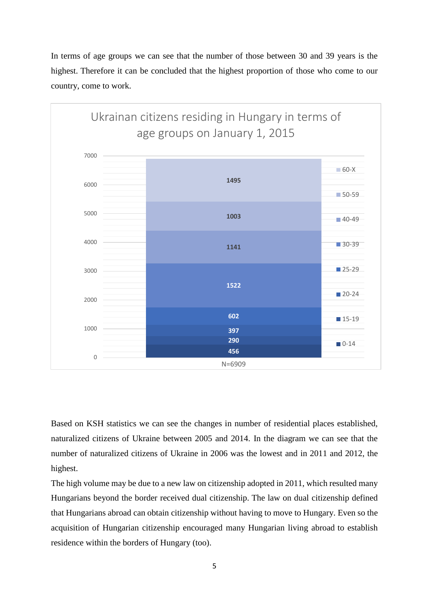



Based on KSH statistics we can see the changes in number of residential places established, naturalized citizens of Ukraine between 2005 and 2014. In the diagram we can see that the number of naturalized citizens of Ukraine in 2006 was the lowest and in 2011 and 2012, the highest.

The high volume may be due to a new law on citizenship adopted in 2011, which resulted many Hungarians beyond the border received dual citizenship. The law on dual citizenship defined that Hungarians abroad can obtain citizenship without having to move to Hungary. Even so the acquisition of Hungarian citizenship encouraged many Hungarian living abroad to establish residence within the borders of Hungary (too).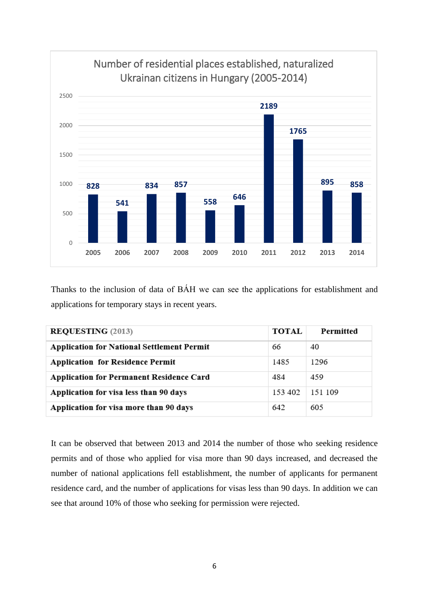

Thanks to the inclusion of data of BÁH we can see the applications for establishment and applications for temporary stays in recent years.

| <b>REQUESTING (2013)</b>                          | <b>TOTAL</b> | Permitted |
|---------------------------------------------------|--------------|-----------|
| <b>Application for National Settlement Permit</b> | 66           | 40        |
| <b>Application for Residence Permit</b>           | 1485         | 1296      |
| <b>Application for Permanent Residence Card</b>   | 484          | 459       |
| Application for visa less than 90 days            | 153 402      | 151 109   |
| Application for visa more than 90 days            | 642          | 605       |

It can be observed that between 2013 and 2014 the number of those who seeking residence permits and of those who applied for visa more than 90 days increased, and decreased the number of national applications fell establishment, the number of applicants for permanent residence card, and the number of applications for visas less than 90 days. In addition we can see that around 10% of those who seeking for permission were rejected.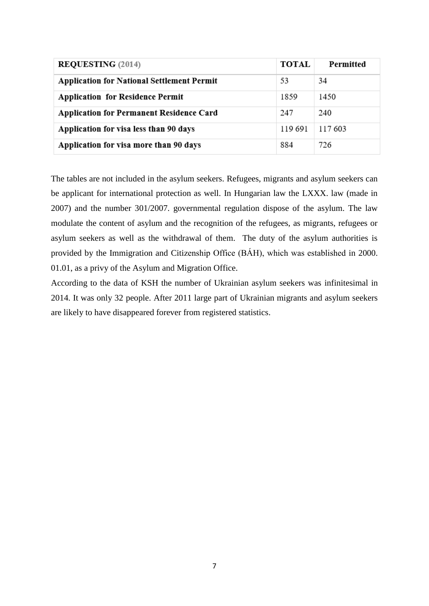| <b>REQUESTING (2014)</b>                          | <b>TOTAL</b> | Permitted |
|---------------------------------------------------|--------------|-----------|
| <b>Application for National Settlement Permit</b> | 53           | 34        |
| <b>Application for Residence Permit</b>           | 1859         | 1450      |
| <b>Application for Permanent Residence Card</b>   | 247          | 240       |
| Application for visa less than 90 days            | 119 691      | 117 603   |
| Application for visa more than 90 days            | 884          | 726       |

The tables are not included in the asylum seekers. Refugees, migrants and asylum seekers can be applicant for international protection as well. In Hungarian law the LXXX. law (made in 2007) and the number 301/2007. governmental regulation dispose of the asylum. The law modulate the content of asylum and the recognition of the refugees, as migrants, refugees or asylum seekers as well as the withdrawal of them. The duty of the asylum authorities is provided by the Immigration and Citizenship Office (BÁH), which was established in 2000. 01.01, as a privy of the Asylum and Migration Office.

According to the data of KSH the number of Ukrainian asylum seekers was infinitesimal in 2014. It was only 32 people. After 2011 large part of Ukrainian migrants and asylum seekers are likely to have disappeared forever from registered statistics.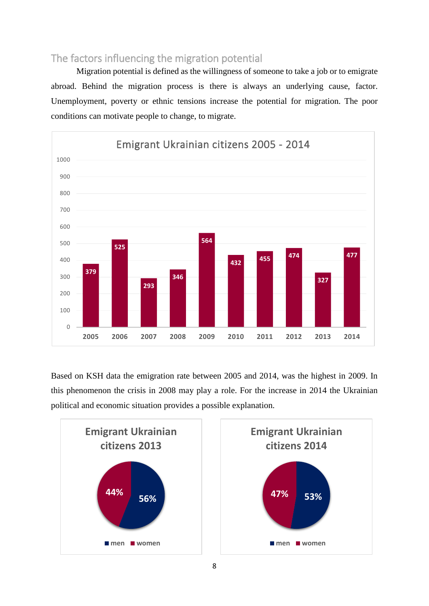# <span id="page-8-0"></span>The factors influencing the migration potential

Migration potential is defined as the willingness of someone to take a job or to emigrate abroad. Behind the migration process is there is always an underlying cause, factor. Unemployment, poverty or ethnic tensions increase the potential for migration. The poor conditions can motivate people to change, to migrate.



Based on KSH data the emigration rate between 2005 and 2014, was the highest in 2009. In this phenomenon the crisis in 2008 may play a role. For the increase in 2014 the Ukrainian political and economic situation provides a possible explanation.



8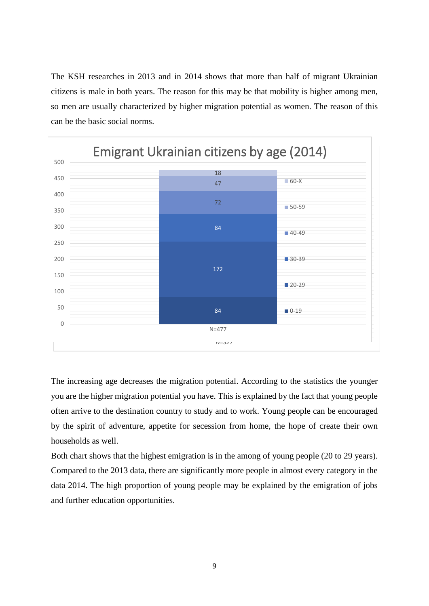The KSH researches in 2013 and in 2014 shows that more than half of migrant Ukrainian citizens is male in both years. The reason for this may be that mobility is higher among men, so men are usually characterized by higher migration potential as women. The reason of this can be the basic social norms.



The increasing age decreases the migration potential. According to the statistics the younger you are the higher migration potential you have. This is explained by the fact that young people often arrive to the destination country to study and to work. Young people can be encouraged by the spirit of adventure, appetite for secession from home, the hope of create their own households as well.

Both chart shows that the highest emigration is in the among of young people (20 to 29 years). Compared to the 2013 data, there are significantly more people in almost every category in the data 2014. The high proportion of young people may be explained by the emigration of jobs and further education opportunities.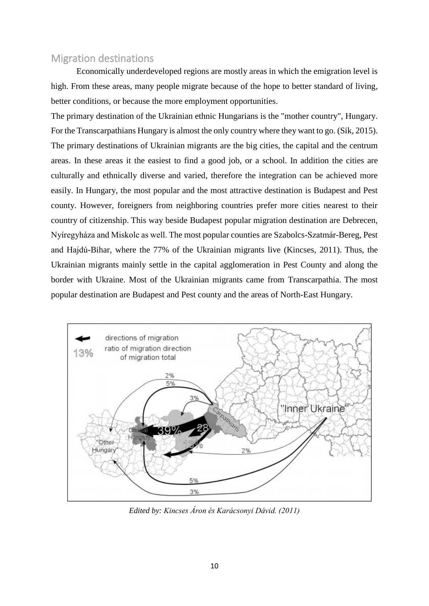### <span id="page-10-0"></span>Migration destinations

Economically underdeveloped regions are mostly areas in which the emigration level is high. From these areas, many people migrate because of the hope to better standard of living, better conditions, or because the more employment opportunities.

The primary destination of the Ukrainian ethnic Hungarians is the "mother country", Hungary. For the Transcarpathians Hungary is almost the only country where they want to go. (Sik, 2015). The primary destinations of Ukrainian migrants are the big cities, the capital and the centrum areas. In these areas it the easiest to find a good job, or a school. In addition the cities are culturally and ethnically diverse and varied, therefore the integration can be achieved more easily. In Hungary, the most popular and the most attractive destination is Budapest and Pest county. However, foreigners from neighboring countries prefer more cities nearest to their country of citizenship. This way beside Budapest popular migration destination are Debrecen, Nyíregyháza and Miskolc as well. The most popular counties are Szabolcs-Szatmár-Bereg, Pest and Hajdú-Bihar, where the 77% of the Ukrainian migrants live (Kincses, 2011). Thus, the Ukrainian migrants mainly settle in the capital agglomeration in Pest County and along the border with Ukraine. Most of the Ukrainian migrants came from Transcarpathia. The most popular destination are Budapest and Pest county and the areas of North-East Hungary.



*Edited by: Kincses Áron és Karácsonyi Dávid. (2011)*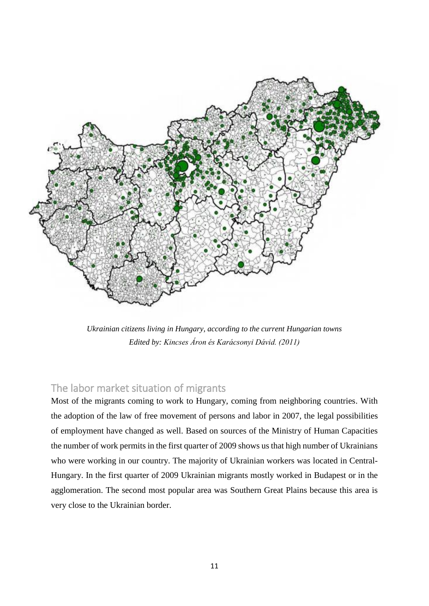

*Ukrainian citizens living in Hungary, according to the current Hungarian towns Edited by: Kincses Áron és Karácsonyi Dávid. (2011)*

# <span id="page-11-0"></span>The labor market situation of migrants

Most of the migrants coming to work to Hungary, coming from neighboring countries. With the adoption of the law of free movement of persons and labor in 2007, the legal possibilities of employment have changed as well. Based on sources of the Ministry of Human Capacities the number of work permits in the first quarter of 2009 shows us that high number of Ukrainians who were working in our country. The majority of Ukrainian workers was located in Central-Hungary. In the first quarter of 2009 Ukrainian migrants mostly worked in Budapest or in the agglomeration. The second most popular area was Southern Great Plains because this area is very close to the Ukrainian border.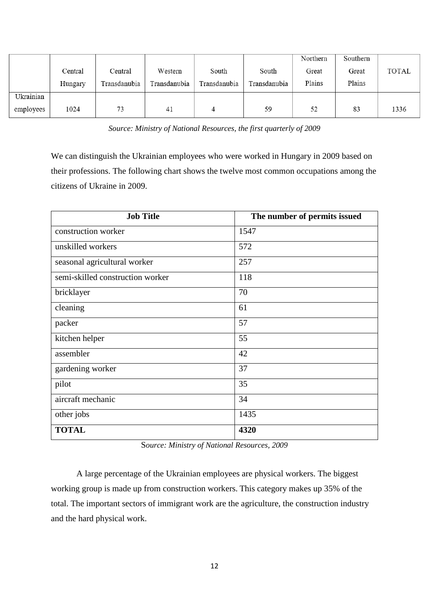|           |         |              |              |              |              | Northern | Southern |       |
|-----------|---------|--------------|--------------|--------------|--------------|----------|----------|-------|
|           | Central | Central      | Western      | South        | South        | Great    | Great    | TOTAL |
|           | Hungary | Transdanubia | Transdanubia | Transdanubia | Transdanubia | Plains   | Plains   |       |
| Ukrainian |         |              |              |              |              |          |          |       |
| employees | 1024    | 73           | 41           | 4            | 59           | 52       | 83       | 1336  |

*Source: Ministry of National Resources, the first quarterly of 2009*

We can distinguish the Ukrainian employees who were worked in Hungary in 2009 based on their professions. The following chart shows the twelve most common occupations among the citizens of Ukraine in 2009.

| <b>Job Title</b>                 | The number of permits issued |
|----------------------------------|------------------------------|
| construction worker              | 1547                         |
| unskilled workers                | 572                          |
| seasonal agricultural worker     | 257                          |
| semi-skilled construction worker | 118                          |
| bricklayer                       | 70                           |
| cleaning                         | 61                           |
| packer                           | 57                           |
| kitchen helper                   | 55                           |
| assembler                        | 42                           |
| gardening worker                 | 37                           |
| pilot                            | 35                           |
| aircraft mechanic                | 34                           |
| other jobs                       | 1435                         |
| <b>TOTAL</b>                     | 4320                         |

S*ource: Ministry of National Resources, 2009*

A large percentage of the Ukrainian employees are physical workers. The biggest working group is made up from construction workers. This category makes up 35% of the total. The important sectors of immigrant work are the agriculture, the construction industry and the hard physical work.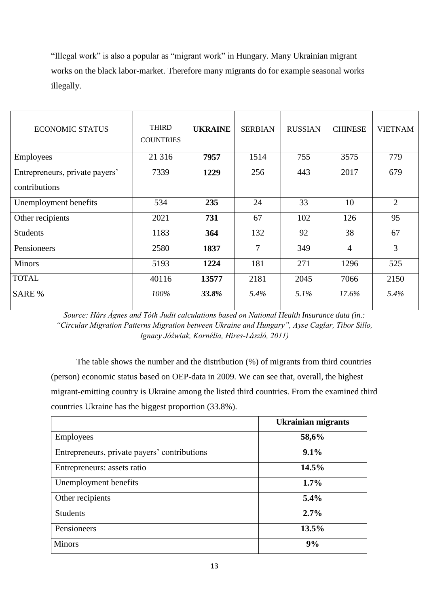"Illegal work" is also a popular as "migrant work" in Hungary. Many Ukrainian migrant works on the black labor-market. Therefore many migrants do for example seasonal works illegally.

| <b>ECONOMIC STATUS</b>         | <b>THIRD</b><br><b>COUNTRIES</b> | <b>UKRAINE</b> | <b>SERBIAN</b> | <b>RUSSIAN</b> | <b>CHINESE</b> | <b>VIETNAM</b> |
|--------------------------------|----------------------------------|----------------|----------------|----------------|----------------|----------------|
| <b>Employees</b>               | 21 316                           | 7957           | 1514           | 755            | 3575           | 779            |
| Entrepreneurs, private payers' | 7339                             | 1229           | 256            | 443            | 2017           | 679            |
| contributions                  |                                  |                |                |                |                |                |
| Unemployment benefits          | 534                              | 235            | 24             | 33             | 10             | $\overline{2}$ |
| Other recipients               | 2021                             | 731            | 67             | 102            | 126            | 95             |
| <b>Students</b>                | 1183                             | 364            | 132            | 92             | 38             | 67             |
| Pensioneers                    | 2580                             | 1837           | $\overline{7}$ | 349            | $\overline{4}$ | 3              |
| <b>Minors</b>                  | 5193                             | 1224           | 181            | 271            | 1296           | 525            |
| <b>TOTAL</b>                   | 40116                            | 13577          | 2181           | 2045           | 7066           | 2150           |
| <b>SARE %</b>                  | 100%                             | 33.8%          | 5.4%           | 5.1%           | 17.6%          | 5.4%           |

*Source: Hárs Ágnes and Tóth Judit calculations based on National Health Insurance data (in.: "Circular Migration Patterns Migration between Ukraine and Hungary", Ayse Caglar, Tibor Sillo, Ignacy Jóźwiak, Kornélia, Hires-László, 2011)*

The table shows the number and the distribution (%) of migrants from third countries (person) economic status based on OEP-data in 2009. We can see that, overall, the highest migrant-emitting country is Ukraine among the listed third countries. From the examined third countries Ukraine has the biggest proportion (33.8%).

|                                              | <b>Ukrainian migrants</b> |
|----------------------------------------------|---------------------------|
| <b>Employees</b>                             | 58,6%                     |
| Entrepreneurs, private payers' contributions | 9.1%                      |
| Entrepreneurs: assets ratio                  | 14.5%                     |
| Unemployment benefits                        | $1.7\%$                   |
| Other recipients                             | $5.4\%$                   |
| <b>Students</b>                              | 2.7%                      |
| Pensioneers                                  | 13.5%                     |
| <b>Minors</b>                                | 9%                        |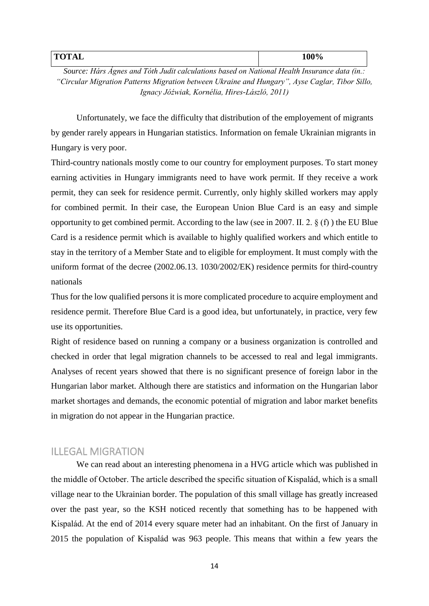| тлт.<br>$\sim$<br>▴◡<br>----- | - 000<br>100% |
|-------------------------------|---------------|
|                               |               |

*Source: Hárs Ágnes and Tóth Judit calculations based on National Health Insurance data (in.: "Circular Migration Patterns Migration between Ukraine and Hungary", Ayse Caglar, Tibor Sillo, Ignacy Jóźwiak, Kornélia, Hires-László, 2011)*

Unfortunately, we face the difficulty that distribution of the employement of migrants by gender rarely appears in Hungarian statistics. Information on female Ukrainian migrants in Hungary is very poor.

Third-country nationals mostly come to our country for employment purposes. To start money earning activities in Hungary immigrants need to have work permit. If they receive a work permit, they can seek for residence permit. Currently, only highly skilled workers may apply for combined permit. In their case, the European Union Blue Card is an easy and simple opportunity to get combined permit. According to the law (see in 2007. II. 2. § (f) ) the EU Blue Card is a residence permit which is available to highly qualified workers and which entitle to stay in the territory of a Member State and to eligible for employment. It must comply with the uniform format of the decree (2002.06.13. 1030/2002/EK) residence permits for third-country nationals

Thus for the low qualified persons it is more complicated procedure to acquire employment and residence permit. Therefore Blue Card is a good idea, but unfortunately, in practice, very few use its opportunities.

Right of residence based on running a company or a business organization is controlled and checked in order that legal migration channels to be accessed to real and legal immigrants. Analyses of recent years showed that there is no significant presence of foreign labor in the Hungarian labor market. Although there are statistics and information on the Hungarian labor market shortages and demands, the economic potential of migration and labor market benefits in migration do not appear in the Hungarian practice.

### <span id="page-14-0"></span>ILLEGAL MIGRATION

We can read about an interesting phenomena in a HVG article which was published in the middle of October. The article described the specific situation of Kispalád, which is a small village near to the Ukrainian border. The population of this small village has greatly increased over the past year, so the KSH noticed recently that something has to be happened with Kispalád. At the end of 2014 every square meter had an inhabitant. On the first of January in 2015 the population of Kispalád was 963 people. This means that within a few years the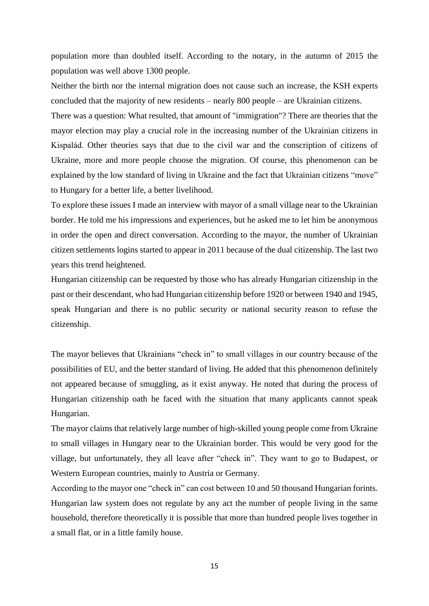population more than doubled itself. According to the notary, in the autumn of 2015 the population was well above 1300 people.

Neither the birth nor the internal migration does not cause such an increase, the KSH experts concluded that the majority of new residents – nearly 800 people – are Ukrainian citizens.

There was a question: What resulted, that amount of "immigration"? There are theories that the mayor election may play a crucial role in the increasing number of the Ukrainian citizens in Kispalád. Other theories says that due to the civil war and the conscription of citizens of Ukraine, more and more people choose the migration. Of course, this phenomenon can be explained by the low standard of living in Ukraine and the fact that Ukrainian citizens "move" to Hungary for a better life, a better livelihood.

To explore these issues I made an interview with mayor of a small village near to the Ukrainian border. He told me his impressions and experiences, but he asked me to let him be anonymous in order the open and direct conversation. According to the mayor, the number of Ukrainian citizen settlements logins started to appear in 2011 because of the dual citizenship. The last two years this trend heightened.

Hungarian citizenship can be requested by those who has already Hungarian citizenship in the past or their descendant, who had Hungarian citizenship before 1920 or between 1940 and 1945, speak Hungarian and there is no public security or national security reason to refuse the citizenship.

The mayor believes that Ukrainians "check in" to small villages in our country because of the possibilities of EU, and the better standard of living. He added that this phenomenon definitely not appeared because of smuggling, as it exist anyway. He noted that during the process of Hungarian citizenship oath he faced with the situation that many applicants cannot speak Hungarian.

The mayor claims that relatively large number of high-skilled young people come from Ukraine to small villages in Hungary near to the Ukrainian border. This would be very good for the village, but unfortunately, they all leave after "check in". They want to go to Budapest, or Western European countries, mainly to Austria or Germany.

According to the mayor one "check in" can cost between 10 and 50 thousand Hungarian forints. Hungarian law system does not regulate by any act the number of people living in the same household, therefore theoretically it is possible that more than hundred people lives together in a small flat, or in a little family house.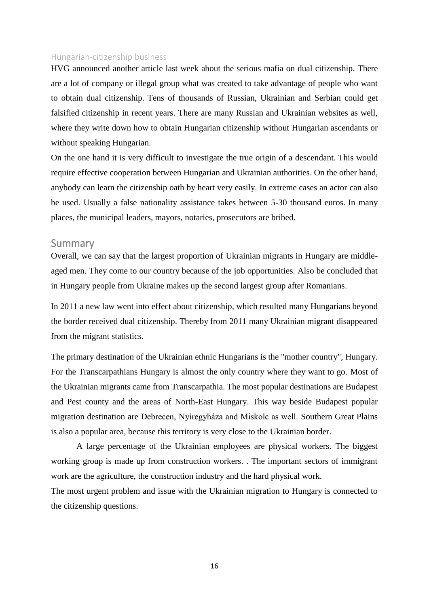#### <span id="page-16-0"></span>Hungarian-citizenship business

HVG announced another article last week about the serious mafia on dual citizenship. There are a lot of company or illegal group what was created to take advantage of people who want to obtain dual citizenship. Tens of thousands of Russian, Ukrainian and Serbian could get falsified citizenship in recent years. There are many Russian and Ukrainian websites as well, where they write down how to obtain Hungarian citizenship without Hungarian ascendants or without speaking Hungarian.

On the one hand it is very difficult to investigate the true origin of a descendant. This would require effective cooperation between Hungarian and Ukrainian authorities. On the other hand, anybody can learn the citizenship oath by heart very easily. In extreme cases an actor can also be used. Usually a false nationality assistance takes between 5-30 thousand euros. In many places, the municipal leaders, mayors, notaries, prosecutors are bribed.

#### <span id="page-16-1"></span>Summary

Overall, we can say that the largest proportion of Ukrainian migrants in Hungary are middleaged men. They come to our country because of the job opportunities. Also be concluded that in Hungary people from Ukraine makes up the second largest group after Romanians.

In 2011 a new law went into effect about citizenship, which resulted many Hungarians beyond the border received dual citizenship. Thereby from 2011 many Ukrainian migrant disappeared from the migrant statistics.

The primary destination of the Ukrainian ethnic Hungarians is the "mother country", Hungary. For the Transcarpathians Hungary is almost the only country where they want to go. Most of the Ukrainian migrants came from Transcarpathia. The most popular destinations are Budapest and Pest county and the areas of North-East Hungary. This way beside Budapest popular migration destination are Debrecen, Nyíregyháza and Miskolc as well. Southern Great Plains is also a popular area, because this territory is very close to the Ukrainian border.

A large percentage of the Ukrainian employees are physical workers. The biggest working group is made up from construction workers. . The important sectors of immigrant work are the agriculture, the construction industry and the hard physical work.

The most urgent problem and issue with the Ukrainian migration to Hungary is connected to the citizenship questions.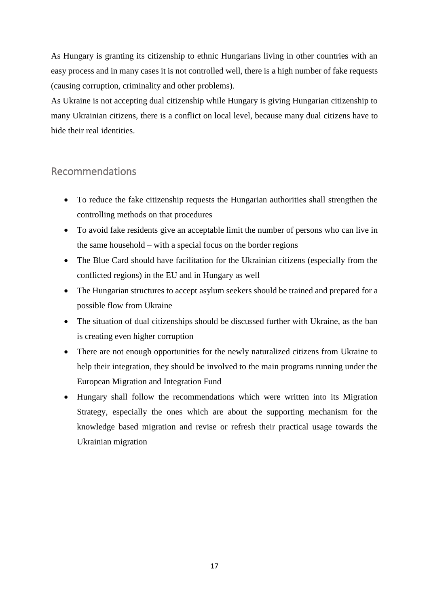As Hungary is granting its citizenship to ethnic Hungarians living in other countries with an easy process and in many cases it is not controlled well, there is a high number of fake requests (causing corruption, criminality and other problems).

As Ukraine is not accepting dual citizenship while Hungary is giving Hungarian citizenship to many Ukrainian citizens, there is a conflict on local level, because many dual citizens have to hide their real identities.

## <span id="page-17-0"></span>Recommendations

- To reduce the fake citizenship requests the Hungarian authorities shall strengthen the controlling methods on that procedures
- To avoid fake residents give an acceptable limit the number of persons who can live in the same household – with a special focus on the border regions
- The Blue Card should have facilitation for the Ukrainian citizens (especially from the conflicted regions) in the EU and in Hungary as well
- The Hungarian structures to accept asylum seekers should be trained and prepared for a possible flow from Ukraine
- The situation of dual citizenships should be discussed further with Ukraine, as the ban is creating even higher corruption
- There are not enough opportunities for the newly naturalized citizens from Ukraine to help their integration, they should be involved to the main programs running under the European Migration and Integration Fund
- Hungary shall follow the recommendations which were written into its Migration Strategy, especially the ones which are about the supporting mechanism for the knowledge based migration and revise or refresh their practical usage towards the Ukrainian migration